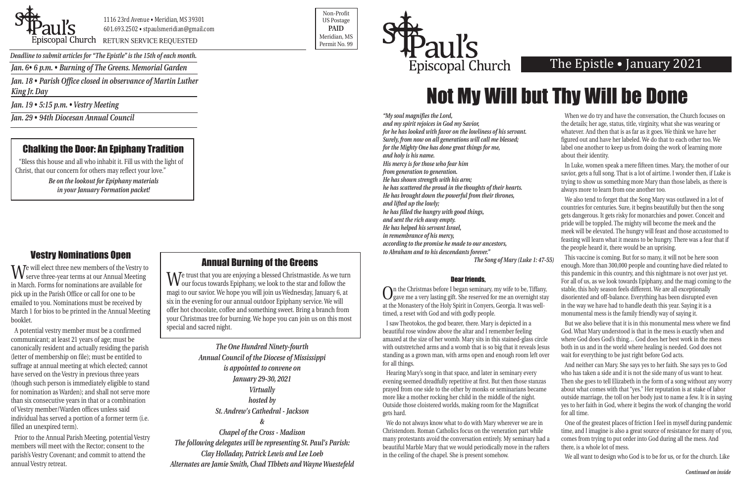*Jan. 6• 6 p.m. • Burning of The Greens. Memorial Garden*

*Jan. 18 • Parish Office closed in observance of Martin Luther King Jr. Day*

*Jan. 19 • 5:15 p.m. • Vestry Meeting* 

*Jan. 29 • 94th Diocesan Annual Council*



1116 23rd Avenue • Meridian, MS 39301 601.693.2502 • stpaulsmeridian@gmail.com

Priscopal Church RETURN SERVICE REQUESTED Research of the permit No. 99

Non-Profit US Postage **PAID** Meridian, MS



*Deadline to submit articles for "The Epistle" is the 15th of each month.* 

## The Epistle • January 2021

*Continued on inside*

# Not My Will but Thy Will be Done

## Vestry Nominations Open

We will elect three new members of the Vestry to serve three-year terms at our Annual Meeting in March. Forms for nominations are available for pick up in the Parish Office or call for one to be emailed to you. Nominations must be received by March 1 for bios to be printed in the Annual Meeting booklet.

A potential vestry member must be a confirmed communicant; at least 21 years of age; must be canonically resident and actually residing the parish (letter of membership on file); must be entitled to suffrage at annual meeting at which elected; cannot have served on the Vestry in previous three years (though such person is immediately eligible to stand for nomination as Warden); and shall not serve more than six consecutive years in that or a combination of Vestry member/Warden offices unless said individual has served a portion of a former term (i.e. filled an unexpired term).

Prior to the Annual Parish Meeting, potential Vestry members will meet with the Rector; consent to the parish's Vestry Covenant; and commit to attend the annual Vestry retreat.

*"My soul magnifies the Lord, and my spirit rejoices in God my Savior, for he has looked with favor on the lowliness of his servant. Surely, from now on all generations will call me blessed; for the Mighty One has done great things for me, and holy is his name. His mercy is for those who fear him from generation to generation. He has shown strength with his arm; he has scattered the proud in the thoughts of their hearts. He has brought down the powerful from their thrones, and lifted up the lowly; he has filled the hungry with good things, and sent the rich away empty. He has helped his servant Israel, in remembrance of his mercy, according to the promise he made to our ancestors, to Abraham and to his descendants forever."* 

Hearing Mary's song in that space, and later in seminary every evening seemed dreadfully repetitive at first. But then those stanzas prayed from one side to the other by monks or seminarians became more like a mother rocking her child in the middle of the night. Outside those cloistered worlds, making room for the Magnificat gets hard.

We do not always know what to do with Mary wherever we are in Christendom. Roman Catholics focus on the veneration part while many protestants avoid the conversation entirely. My seminary had a beautiful Marble Mary that we would periodically move in the rafters in the ceiling of the chapel. She is present somehow.

*The Song of Mary (Luke 1: 47-55)* Dear friends, On the Christmas before I began seminary, my wife to be, Tiffany, gave me a very lasting gift. She reserved for me an overnight stay at the Monastery of the Holy Spirit in Conyers, Georgia. It was welltimed, a reset with God and with godly people. This vaccine is coming. But for so many, it will not be here soon enough. More than 300,000 people and counting have died related to this pandemic in this country, and this nightmare is not over just yet. For all of us, as we look towards Epiphany, and the magi coming to the stable, this holy season feels different. We are all exceptionally disoriented and off-balance. Everything has been disrupted even in the way we have had to handle death this year. Saying it is a monumental mess is the family friendly way of saying it.

When we do try and have the conversation, the Church focuses on the details; her age, status, title, virginity, what she was wearing or whatever. And then that is as far as it goes. We think we have her figured out and have her labeled. We do that to each other too. We label one another to keep us from doing the work of learning more about their identity.

In Luke, women speak a mere fifteen times. Mary, the mother of our savior, gets a full song. That is a lot of airtime. I wonder then, if Luke is trying to show us something more Mary than those labels, as there is always more to learn from one another too.

I saw Theotokos, the god bearer, there. Mary is depicted in a beautiful rose window above the altar and I remember feeling amazed at the size of her womb. Mary sits in this stained-glass circle with outstretched arms and a womb that is so big that it reveals Jesus standing as a grown man, with arms open and enough room left over for all things. But we also believe that it is in this monumental mess where we find God. What Mary understood is that in the mess is exactly when and where God does God's thing… God does her best work in the mess both in us and in the world where healing is needed. God does not wait for everything to be just right before God acts. And neither can Mary. She says yes to her faith. She says yes to God

We also tend to forget that the Song Mary was outlawed in a lot of countries for centuries. Sure, it begins beautifully but then the song gets dangerous. It gets risky for monarchies and power. Conceit and pride will be toppled. The mighty will become the meek and the meek will be elevated. The hungry will feast and those accustomed to feasting will learn what it means to be hungry. There was a fear that if the people heard it, there would be an uprising.

who has taken a side and it is not the side many of us want to hear. Then she goes to tell Elizabeth in the form of a song without any worry about what comes with that "yes." Her reputation is at stake of labor outside marriage, the toll on her body just to name a few. It is in saying yes to her faith in God, where it begins the work of changing the world for all time.

One of the greatest places of friction I feel in myself during pandemic time, and I imagine is also a great source of resistance for many of you, comes from trying to put order into God during all the mess. And there, is a whole lot of mess.

We all want to design who God is to be for us, or for the church. Like

*The One Hundred Ninety-fourth Annual Council of the Diocese of Mississippi is appointed to convene on January 29-30, 2021 Virtually hosted by St. Andrew's Cathedral - Jackson &*

*Chapel of the Cross - Madison The following delegates will be representing St. Paul's Parish: Clay Holladay, Patrick Lewis and Lee Loeb Alternates are Jamie Smith, Chad TIbbets and Wayne Wuestefeld*

## Annual Burning of the Greens

We trust that you are enjoying a blessed Christmastide. As we turn our focus towards Epiphany, we look to the star and follow the magi to our savior. We hope you will join us Wednesday, January 6, at six in the evening for our annual outdoor Epiphany service. We will offer hot chocolate, coffee and something sweet. Bring a branch from your Christmas tree for burning. We hope you can join us on this most special and sacred night.

## Chalking the Door: An Epiphany Tradition

"Bless this house and all who inhabit it. Fill us with the light of Christ, that our concern for others may reflect your love."

> *Be on the lookout for Epiphany materials in your January Formation packet!*